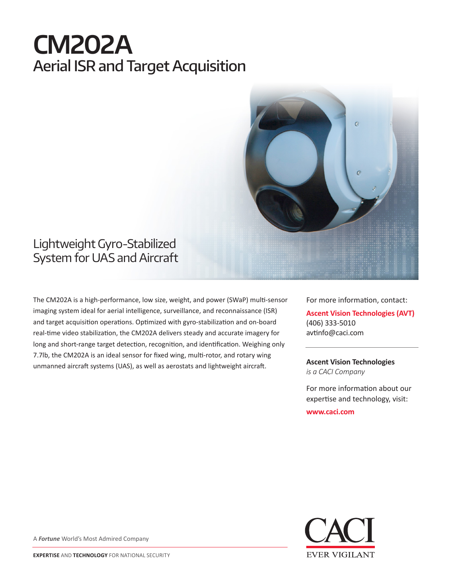# **CM202A** Aerial ISR and Target Acquisition



## Lightweight Gyro-Stabilized System for UAS and Aircraft

The CM202A is a high-performance, low size, weight, and power (SWaP) multi-sensor imaging system ideal for aerial intelligence, surveillance, and reconnaissance (ISR) and target acquisition operations. Optimized with gyro-stabilization and on-board real-time video stabilization, the CM202A delivers steady and accurate imagery for long and short-range target detection, recognition, and identification. Weighing only 7.7lb, the CM202A is an ideal sensor for fixed wing, multi-rotor, and rotary wing unmanned aircraft systems (UAS), as well as aerostats and lightweight aircraft.

For more information, contact: **Ascent Vision Technologies (AVT)** (406) 333-5010 avtinfo@caci.com

**Ascent Vision Technologies** *is a CACI Company* 

For more information about our expertise and technology, visit:

**www.caci.com**



A *Fortune* World's Most Admired Company